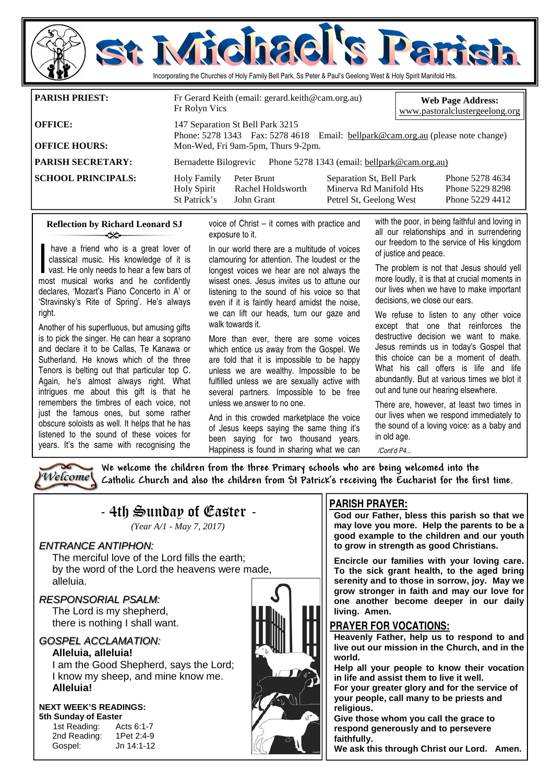

|                           | Fr Rolyn Vics                                                                                                       |                                                                       |                                                                                |  | www.pastoralclustergeelong.org                        |  |
|---------------------------|---------------------------------------------------------------------------------------------------------------------|-----------------------------------------------------------------------|--------------------------------------------------------------------------------|--|-------------------------------------------------------|--|
| <b>OFFICE:</b>            | 147 Separation St Bell Park 3215<br>Phone: 5278 1343 Fax: 5278 4618 Email: bellpark@cam.org.au (please note change) |                                                                       |                                                                                |  |                                                       |  |
| <b>OFFICE HOURS:</b>      |                                                                                                                     | Mon-Wed, Fri 9am-5pm, Thurs 9-2pm.                                    |                                                                                |  |                                                       |  |
| <b>PARISH SECRETARY:</b>  |                                                                                                                     | Phone 5278 1343 (email: bellpark@cam.org.au)<br>Bernadette Bilogrevic |                                                                                |  |                                                       |  |
| <b>SCHOOL PRINCIPALS:</b> | <b>Holy Family</b><br><b>Holy Spirit</b><br>St Patrick's                                                            | Peter Brunt<br>Rachel Holdsworth<br>John Grant                        | Separation St, Bell Park<br>Minerva Rd Manifold Hts<br>Petrel St. Geelong West |  | Phone 5278 4634<br>Phone 5229 8298<br>Phone 5229 4412 |  |

### **Reflection by Richard Leonard SJ**  ન્≫

have a friend who is a great lover of<br>classical music. His knowledge of it is<br>vast. He only needs to hear a few bars of<br>most musical works and he confidently classical music. His knowledge of it is vast. He only needs to hear a few bars of most musical works and he confidently declares, 'Mozart's Piano Concerto in A' or 'Stravinsky's Rite of Spring'. He's always right.

Another of his superfluous, but amusing gifts is to pick the singer. He can hear a soprano and declare it to be Callas, Te Kanawa or Sutherland. He knows which of the three Tenors is belting out that particular top C. Again, he's almost always right. What intrigues me about this gift is that he remembers the timbres of each voice, not just the famous ones, but some rather obscure soloists as well. It helps that he has listened to the sound of these voices for years. It's the same with recognising the

voice of Christ – it comes with practice and exposure to it.

In our world there are a multitude of voices clamouring for attention. The loudest or the longest voices we hear are not always the wisest ones. Jesus invites us to attune our listening to the sound of his voice so that even if it is faintly heard amidst the noise, we can lift our heads, turn our gaze and walk towards it.

More than ever, there are some voices which entice us away from the Gospel. We are told that it is impossible to be happy unless we are wealthy. Impossible to be fulfilled unless we are sexually active with several partners. Impossible to be free unless we answer to no one.

And in this crowded marketplace the voice of Jesus keeps saying the same thing it's been saying for two thousand years. Happiness is found in sharing what we can

with the poor, in being faithful and loving in all our relationships and in surrendering our freedom to the service of His kingdom of justice and peace.

The problem is not that Jesus should yell more loudly, it is that at crucial moments in our lives when we have to make important decisions, we close our ears.

We refuse to listen to any other voice except that one that reinforces the destructive decision we want to make. Jesus reminds us in today's Gospel that this choice can be a moment of death. What his call offers is life and life abundantly. But at various times we blot it out and tune our hearing elsewhere.

There are, however, at least two times in our lives when we respond immediately to the sound of a loving voice: as a baby and in old age.

*/Cont'd P4...* 



We welcome the children from the three Primary schools who are being welcomed into the Catholic Church and also the children from St Patrick's receiving the Eucharist for the first time.

# $-$  4th Sunday of Easter  $-$

*(Year A/1 - May 7, 2017)* 

## ENTRANCE ANTIPHON:

 The merciful love of the Lord fills the earth; by the word of the Lord the heavens were made, alleluia.

## RESPONSORIAL PSALM:

 The Lord is my shepherd, there is nothing I shall want.

## GOSPEL ACCLAMATION:

**Alleluia, alleluia!**  I am the Good Shepherd, says the Lord; I know my sheep, and mine know me. **Alleluia!** 

### **NEXT WEEK'S READINGS: 5th Sunday of Easter**

1st Reading: Acts 6:1-7 2nd Reading: 1Pet 2:4-9 Gospel: Jn 14:1-12

## **PARISH PRAYER:**

**God our Father, bless this parish so that we may love you more. Help the parents to be a good example to the children and our youth to grow in strength as good Christians.** 

**Encircle our families with your loving care. To the sick grant health, to the aged bring serenity and to those in sorrow, joy. May we grow stronger in faith and may our love for one another become deeper in our daily living. Amen.** 

## **PRAYER FOR VOCATIONS:**

**Heavenly Father, help us to respond to and live out our mission in the Church, and in the world.** 

**Help all your people to know their vocation in life and assist them to live it well.** 

**For your greater glory and for the service of your people, call many to be priests and religious.** 

**Give those whom you call the grace to respond generously and to persevere faithfully.** 

**We ask this through Christ our Lord. Amen.**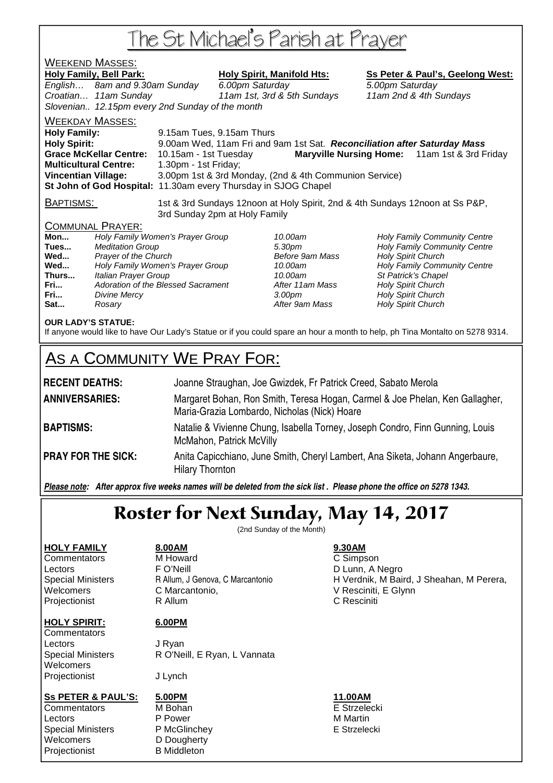# The St Michael's Parish at Prayer

## WEEKEND MASSES: Holy Family, Bell Park: Holy Spirit, Manifold Hts: Ss Peter & Paul's, Geelong West: English… 8am and 9.30am Sunday 6.00pm Saturday 5.00pm Saturday Croatian… 11am Sunday 11am 1st, 3rd & 5th Sundays 11am 2nd & 4th Sundays Slovenian.. 12.15pm every 2nd Sunday of the month WEEKDAY MASSES: **Holy Family:** 9.15am Tues, 9.15am Thurs **Holy Spirit:** 9.00am Wed, 11am Fri and 9am 1st Sat. **Reconciliation after Saturday Mass Grace McKellar Centre:** 10.15am - 1st Tuesday **Maryville Nursing Home:** 11am 1st & 3rd Friday **Multicultural Centre:** 1.30pm - 1st Friday; **Vincentian Village:** 3.00pm 1st & 3rd Monday, (2nd & 4th Communion Service) **St John of God Hospital:** 11.30am every Thursday in SJOG Chapel BAPTISMS: 1st & 3rd Sundays 12noon at Holy Spirit, 2nd & 4th Sundays 12noon at Ss P&P, 3rd Sunday 2pm at Holy Family COMMUNAL PRAYER: **Mon...** Holy Family Women's Prayer Group 10.00am Holy Family Community Centre **Tues Integrals According to the Superior Community Centre** 5.30pm **Holy Family Community Centre Wed...** Prayer of the Church **Prayer of the Church Before 9am Mass** Holy Spirit Church Before 9am Mass and Holy Spirit Church Centre Church Centre Church Centre Church Centre Church Spirit Church Centre Church Spirit Cent Wed... **Holy Family Women's Prayer Group** 10.00am **Thurs...** Italian Prayer Group 10.00am St Patrick's Chapel **Fri...** Adoration of the Blessed Sacrament **After 11am Mass** Holy Spirit Church **Fri... Divine Mercy Constant Church 3.00pm** Holy Spirit Church Holy Spirit Church **Sat... Rosary Rosary Reserves After 9am Mass Holy Spirit Church**

## **OUR LADY'S STATUE:**

If anyone would like to have Our Lady's Statue or if you could spare an hour a month to help, ph Tina Montalto on 5278 9314.

# AS A COMMUNITY WE PRAY FOR:

| <b>RECENT DEATHS:</b>     | Joanne Straughan, Joe Gwizdek, Fr Patrick Creed, Sabato Merola                                                               |
|---------------------------|------------------------------------------------------------------------------------------------------------------------------|
| <b>ANNIVERSARIES:</b>     | Margaret Bohan, Ron Smith, Teresa Hogan, Carmel & Joe Phelan, Ken Gallagher,<br>Maria-Grazia Lombardo, Nicholas (Nick) Hoare |
| <b>BAPTISMS:</b>          | Natalie & Vivienne Chung, Isabella Torney, Joseph Condro, Finn Gunning, Louis<br>McMahon, Patrick McVilly                    |
| <b>PRAY FOR THE SICK:</b> | Anita Capicchiano, June Smith, Cheryl Lambert, Ana Siketa, Johann Angerbaure,<br><b>Hilary Thornton</b>                      |

*Please note: After approx five weeks names will be deleted from the sick list . Please phone the office on 5278 1343.*

# Roster for Next Sunday, May 14, 2017

(2nd Sunday of the Month)

## **HOLY FAMILY 8.00AM 9.30AM** Commentators M Howard C Simpson Lectors **FO'Neill** FO'Neill **D** Lunn, A Negro Welcomers C Marcantonio, V Resciniti, E Glynn Projectionist **R** Allum **C Resciniti**

## **HOLY SPIRIT: 6.00PM**

**Commentators** Lectors J Ryan **Welcomers** Projectionist J Lynch

Special Ministers R O'Neill, E Ryan, L Vannata

## **Ss PETER & PAUL'S: 5.00PM 11.00AM**

Commentators M Bohan E Strzelecki Lectors **P** Power **P** Power M Martin Special Ministers **P McGlinchey Community** E Strzelecki Welcomers **D** D Dougherty Projectionist B Middleton

Special Ministers **R** Allum, J Genova, C Marcantonio **H** Verdnik, M Baird, J Sheahan, M Perera,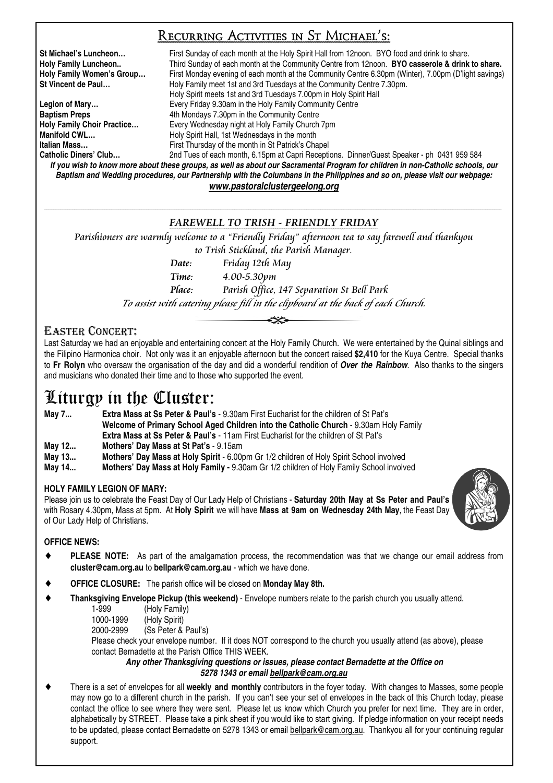## Recurring Activities in St Michael's:

**St Michael's Luncheon…** First Sunday of each month at the Holy Spirit Hall from 12noon. BYO food and drink to share. **Holy Family Luncheon..** Third Sunday of each month at the Community Centre from 12noon. **BYO casserole & drink to share. Holy Family Women's Group…** First Monday evening of each month at the Community Centre 6.30pm (Winter), 7.00pm (D'light savings) **St Vincent de Paul…** Holy Family meet 1st and 3rd Tuesdays at the Community Centre 7.30pm. Holy Spirit meets 1st and 3rd Tuesdays 7.00pm in Holy Spirit Hall **Legion of Mary…** Every Friday 9.30am in the Holy Family Community Centre **Baptism Preps 4th Mondays 7.30pm in the Community Centre Holy Family Choir Practice…** Every Wednesday night at Holy Family Church 7pm **Manifold CWL... Holy Spirit Hall, 1st Wednesdays in the month Italian Mass…** First Thursday of the month in St Patrick's Chapel 2nd Tues of each month, 6.15pm at Capri Receptions. Dinner/Guest Speaker - ph 0431 959 584

*If you wish to know more about these groups, as well as about our Sacramental Program for children in non-Catholic schools, our Baptism and Wedding procedures, our Partnership with the Columbans in the Philippines and so on, please visit our webpage: www.pastoralclustergeelong.org*

### \_\_\_\_\_\_\_\_\_\_\_\_\_\_\_\_\_\_\_\_\_\_\_\_\_\_\_\_\_\_\_\_\_\_\_\_\_\_\_\_\_\_\_\_\_\_\_\_\_\_\_\_\_\_\_\_\_\_\_\_\_\_\_\_\_\_\_\_\_\_\_\_\_\_\_\_\_\_\_\_\_\_\_\_\_\_\_\_\_\_\_\_\_\_\_\_\_\_\_\_\_\_\_\_\_\_\_\_\_\_\_\_\_\_\_\_\_\_\_\_\_\_\_\_\_\_\_\_\_\_\_\_\_\_\_\_\_\_\_\_\_\_\_\_\_\_\_\_\_\_\_\_\_\_\_\_\_\_\_\_\_\_\_\_\_\_\_\_\_\_\_\_\_\_\_\_\_\_\_\_\_\_\_\_\_\_\_\_\_\_\_\_\_\_\_\_\_ FAREWELL TO TRISH - FRIENDLY FRIDAY

Parishioners are warmly welcome to a "Friendly Friday" afternoon tea to say farewell and thankyou to Trish Stickland, the Parish Manager.

 Date: Friday 12th May Time: 4.00-5.30pm Place: Parish Office, 147 Separation St Bell Park

To assist with catering please fill in the clipboard at the back of each Church.

## EASTER CONCERT:

Last Saturday we had an enjoyable and entertaining concert at the Holy Family Church. We were entertained by the Quinal siblings and the Filipino Harmonica choir. Not only was it an enjoyable afternoon but the concert raised **\$2,410** for the Kuya Centre. Special thanks to **Fr Rolyn** who oversaw the organisation of the day and did a wonderful rendition of *Over the Rainbow*. Also thanks to the singers and musicians who donated their time and to those who supported the event.

## Liturgy in the Cluster:

**May 7... Extra Mass at Ss Peter & Paul's** - 9.30am First Eucharist for the children of St Pat's **Welcome of Primary School Aged Children into the Catholic Church** - 9.30am Holy Family **Extra Mass at Ss Peter & Paul's** - 11am First Eucharist for the children of St Pat's **May 12... Mothers' Day Mass at St Pat's** - 9.15am

**May 13... Mothers' Day Mass at Holy Spirit** - 6.00pm Gr 1/2 children of Holy Spirit School involved

**May 14... Mothers' Day Mass at Holy Family -** 9.30am Gr 1/2 children of Holy Family School involved

## **HOLY FAMILY LEGION OF MARY:**

Please join us to celebrate the Feast Day of Our Lady Help of Christians - **Saturday 20th May at Ss Peter and Paul's** with Rosary 4.30pm, Mass at 5pm. At **Holy Spirit** we will have **Mass at 9am on Wednesday 24th May**, the Feast Day of Our Lady Help of Christians.



## **OFFICE NEWS:**

- ♦ **PLEASE NOTE:** As part of the amalgamation process, the recommendation was that we change our email address from **cluster@cam.org.au** to **bellpark@cam.org.au** - which we have done.
- ♦ **OFFICE CLOSURE:** The parish office will be closed on **Monday May 8th.**
- **Thanksgiving Envelope Pickup (this weekend)** Envelope numbers relate to the parish church you usually attend.
	- 1-999 (Holy Family)
	- 1000-1999 (Holy Spirit)<br>2000-2999 (Ss Peter &
	- (Ss Peter & Paul's)

 Please check your envelope number. If it does NOT correspond to the church you usually attend (as above), please contact Bernadette at the Parish Office THIS WEEK.

*Any other Thanksgiving questions or issues, please contact Bernadette at the Office on 5278 1343 or email bellpark@cam.org.au*

There is a set of envelopes for all **weekly and monthly** contributors in the foyer today. With changes to Masses, some people may now go to a different church in the parish. If you can't see your set of envelopes in the back of this Church today, please contact the office to see where they were sent. Please let us know which Church you prefer for next time. They are in order, alphabetically by STREET. Please take a pink sheet if you would like to start giving. If pledge information on your receipt needs to be updated, please contact Bernadette on 5278 1343 or email bellpark@cam.org.au. Thankyou all for your continuing regular support.